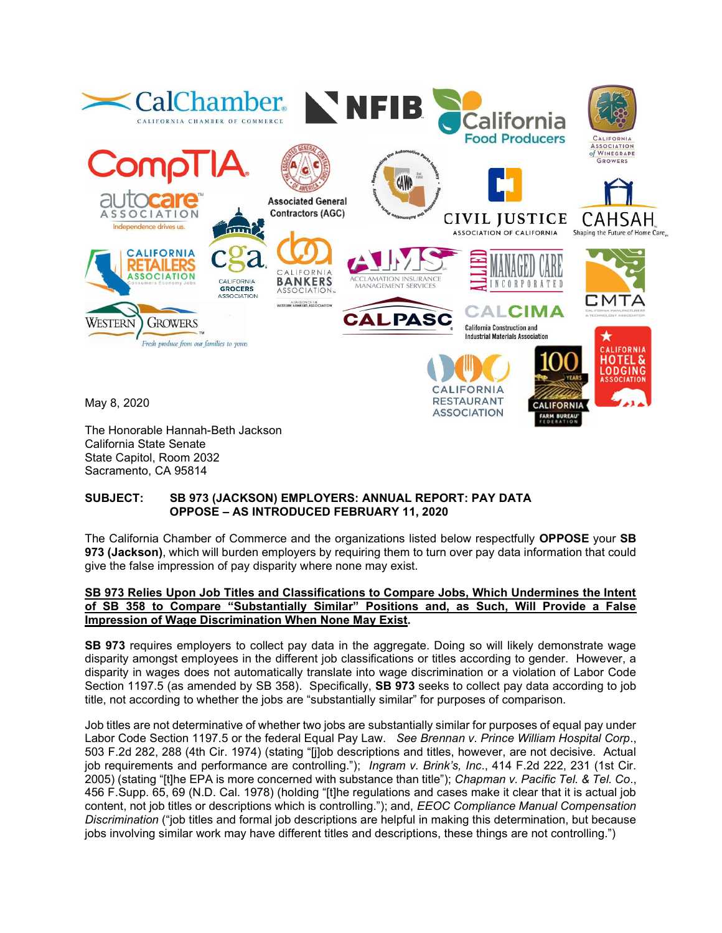

FARM BUREAU

The Honorable Hannah-Beth Jackson California State Senate State Capitol, Room 2032 Sacramento, CA 95814

### SUBJECT: SB 973 (JACKSON) EMPLOYERS: ANNUAL REPORT: PAY DATA OPPOSE – AS INTRODUCED FEBRUARY 11, 2020

The California Chamber of Commerce and the organizations listed below respectfully OPPOSE your SB 973 (Jackson), which will burden employers by requiring them to turn over pay data information that could give the false impression of pay disparity where none may exist.

#### SB 973 Relies Upon Job Titles and Classifications to Compare Jobs, Which Undermines the Intent of SB 358 to Compare "Substantially Similar" Positions and, as Such, Will Provide a False Impression of Wage Discrimination When None May Exist.

SB 973 requires employers to collect pay data in the aggregate. Doing so will likely demonstrate wage disparity amongst employees in the different job classifications or titles according to gender. However, a disparity in wages does not automatically translate into wage discrimination or a violation of Labor Code Section 1197.5 (as amended by SB 358). Specifically, **SB 973** seeks to collect pay data according to job title, not according to whether the jobs are "substantially similar" for purposes of comparison.

Job titles are not determinative of whether two jobs are substantially similar for purposes of equal pay under Labor Code Section 1197.5 or the federal Equal Pay Law. See Brennan v. Prince William Hospital Corp., 503 F.2d 282, 288 (4th Cir. 1974) (stating "[j]ob descriptions and titles, however, are not decisive. Actual job requirements and performance are controlling."); Ingram v. Brink's, Inc., 414 F.2d 222, 231 (1st Cir. 2005) (stating "[t]he EPA is more concerned with substance than title"); Chapman v. Pacific Tel. & Tel. Co., 456 F.Supp. 65, 69 (N.D. Cal. 1978) (holding "[t]he regulations and cases make it clear that it is actual job content, not job titles or descriptions which is controlling."); and, *EEOC Compliance Manual Compensation* Discrimination ("job titles and formal job descriptions are helpful in making this determination, but because jobs involving similar work may have different titles and descriptions, these things are not controlling.")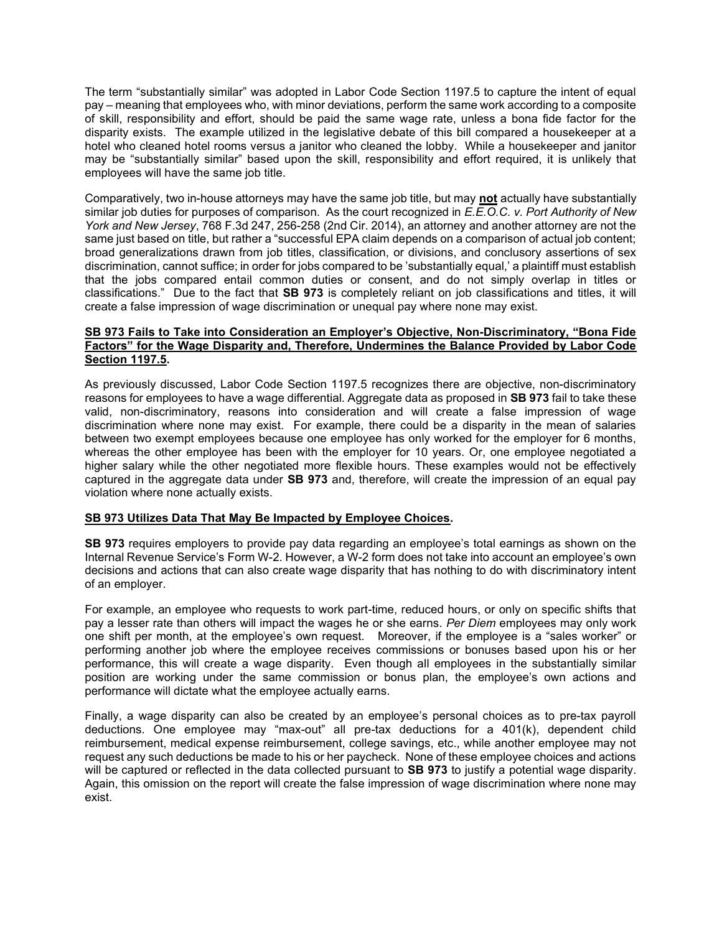The term "substantially similar" was adopted in Labor Code Section 1197.5 to capture the intent of equal pay – meaning that employees who, with minor deviations, perform the same work according to a composite of skill, responsibility and effort, should be paid the same wage rate, unless a bona fide factor for the disparity exists. The example utilized in the legislative debate of this bill compared a housekeeper at a hotel who cleaned hotel rooms versus a janitor who cleaned the lobby. While a housekeeper and janitor may be "substantially similar" based upon the skill, responsibility and effort required, it is unlikely that employees will have the same job title.

Comparatively, two in-house attorneys may have the same job title, but may not actually have substantially similar job duties for purposes of comparison. As the court recognized in E.E.O.C. v. Port Authority of New York and New Jersey, 768 F.3d 247, 256-258 (2nd Cir. 2014), an attorney and another attorney are not the same just based on title, but rather a "successful EPA claim depends on a comparison of actual job content; broad generalizations drawn from job titles, classification, or divisions, and conclusory assertions of sex discrimination, cannot suffice; in order for jobs compared to be 'substantially equal,' a plaintiff must establish that the jobs compared entail common duties or consent, and do not simply overlap in titles or classifications." Due to the fact that SB 973 is completely reliant on job classifications and titles, it will create a false impression of wage discrimination or unequal pay where none may exist.

### SB 973 Fails to Take into Consideration an Employer's Objective, Non-Discriminatory, "Bona Fide Factors" for the Wage Disparity and, Therefore, Undermines the Balance Provided by Labor Code Section 1197.5.

As previously discussed, Labor Code Section 1197.5 recognizes there are objective, non-discriminatory reasons for employees to have a wage differential. Aggregate data as proposed in SB 973 fail to take these valid, non-discriminatory, reasons into consideration and will create a false impression of wage discrimination where none may exist. For example, there could be a disparity in the mean of salaries between two exempt employees because one employee has only worked for the employer for 6 months, whereas the other employee has been with the employer for 10 years. Or, one employee negotiated a higher salary while the other negotiated more flexible hours. These examples would not be effectively captured in the aggregate data under SB 973 and, therefore, will create the impression of an equal pay violation where none actually exists.

# SB 973 Utilizes Data That May Be Impacted by Employee Choices.

SB 973 requires employers to provide pay data regarding an employee's total earnings as shown on the Internal Revenue Service's Form W-2. However, a W-2 form does not take into account an employee's own decisions and actions that can also create wage disparity that has nothing to do with discriminatory intent of an employer.

For example, an employee who requests to work part-time, reduced hours, or only on specific shifts that pay a lesser rate than others will impact the wages he or she earns. Per Diem employees may only work one shift per month, at the employee's own request. Moreover, if the employee is a "sales worker" or performing another job where the employee receives commissions or bonuses based upon his or her performance, this will create a wage disparity. Even though all employees in the substantially similar position are working under the same commission or bonus plan, the employee's own actions and performance will dictate what the employee actually earns.

Finally, a wage disparity can also be created by an employee's personal choices as to pre-tax payroll deductions. One employee may "max-out" all pre-tax deductions for a 401(k), dependent child reimbursement, medical expense reimbursement, college savings, etc., while another employee may not request any such deductions be made to his or her paycheck. None of these employee choices and actions will be captured or reflected in the data collected pursuant to **SB 973** to justify a potential wage disparity. Again, this omission on the report will create the false impression of wage discrimination where none may exist.